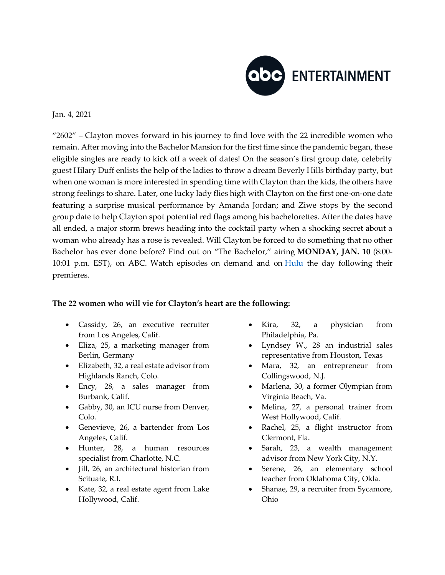

## Jan. 4, 2021

"2602" – Clayton moves forward in his journey to find love with the 22 incredible women who remain. After moving into the Bachelor Mansion for the first time since the pandemic began, these eligible singles are ready to kick off a week of dates! On the season's first group date, celebrity guest Hilary Duff enlists the help of the ladies to throw a dream Beverly Hills birthday party, but when one woman is more interested in spending time with Clayton than the kids, the others have strong feelings to share. Later, one lucky lady flies high with Clayton on the first one-on-one date featuring a surprise musical performance by Amanda Jordan; and Ziwe stops by the second group date to help Clayton spot potential red flags among his bachelorettes. After the dates have all ended, a major storm brews heading into the cocktail party when a shocking secret about a woman who already has a rose is revealed. Will Clayton be forced to do something that no other Bachelor has ever done before? Find out on "The Bachelor," airing **MONDAY, JAN. 10** (8:00- 10:01 p.m. EST), on ABC. Watch episodes on demand and on  $\frac{Hulu}{Hulu}$  $\frac{Hulu}{Hulu}$  $\frac{Hulu}{Hulu}$  the day following their premieres.

## **The 22 women who will vie for Clayton's heart are the following:**

- Cassidy, 26, an executive recruiter from Los Angeles, Calif.
- Eliza, 25, a marketing manager from Berlin, Germany
- Elizabeth, 32, a real estate advisor from Highlands Ranch, Colo.
- Ency, 28, a sales manager from Burbank, Calif.
- Gabby, 30, an ICU nurse from Denver, Colo.
- Genevieve, 26, a bartender from Los Angeles, Calif.
- Hunter, 28, a human resources specialist from Charlotte, N.C.
- Jill, 26, an architectural historian from Scituate, R.I.
- Kate, 32, a real estate agent from Lake Hollywood, Calif.
- Kira, 32, a physician from Philadelphia, Pa.
- Lyndsey W., 28 an industrial sales representative from Houston, Texas
- Mara, 32, an entrepreneur from Collingswood, N.J.
- Marlena, 30, a former Olympian from Virginia Beach, Va.
- Melina, 27, a personal trainer from West Hollywood, Calif.
- Rachel, 25, a flight instructor from Clermont, Fla.
- Sarah, 23, a wealth management advisor from New York City, N.Y.
- Serene, 26, an elementary school teacher from Oklahoma City, Okla.
- Shanae, 29, a recruiter from Sycamore, Ohio